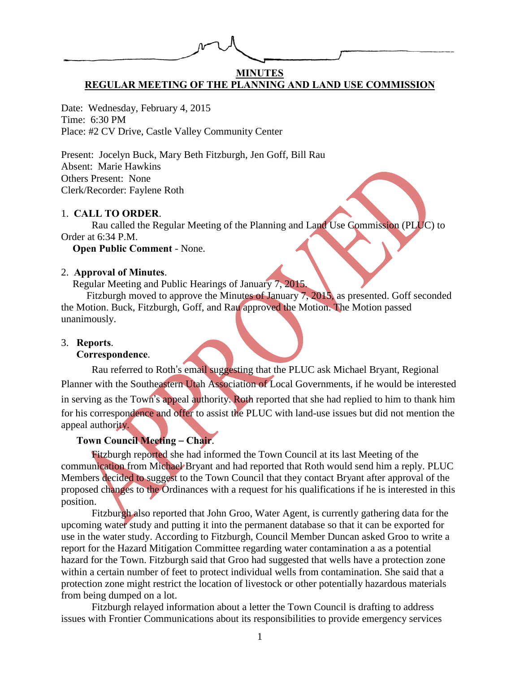## **MINUTES REGULAR MEETING OF THE PLANNING AND LAND USE COMMISSION**

Date: Wednesday, February 4, 2015 Time: 6:30 PM Place: #2 CV Drive, Castle Valley Community Center

Present: Jocelyn Buck, Mary Beth Fitzburgh, Jen Goff, Bill Rau Absent: Marie Hawkins Others Present: None Clerk/Recorder: Faylene Roth

### 1. **CALL TO ORDER**.

Rau called the Regular Meeting of the Planning and Land Use Commission (PLUC) to Order at 6:34 P.M.

**Open Public Comment** - None.

### 2. **Approval of Minutes**.

Regular Meeting and Public Hearings of January 7, 2015.

Fitzburgh moved to approve the Minutes of January 7, 2015, as presented. Goff seconded the Motion. Buck, Fitzburgh, Goff, and Rau approved the Motion. The Motion passed unanimously.

#### 3. **Reports**.

#### **Correspondence**.

Rau referred to Roth's email suggesting that the PLUC ask Michael Bryant, Regional Planner with the Southeastern Utah Association of Local Governments, if he would be interested in serving as the Town's appeal authority. Roth reported that she had replied to him to thank him for his correspondence and offer to assist the PLUC with land-use issues but did not mention the appeal authority.

# **Town Council Meeting** – **Chair**.

Fitzburgh reported she had informed the Town Council at its last Meeting of the communication from Michael Bryant and had reported that Roth would send him a reply. PLUC Members decided to suggest to the Town Council that they contact Bryant after approval of the proposed changes to the Ordinances with a request for his qualifications if he is interested in this position.

Fitzburgh also reported that John Groo, Water Agent, is currently gathering data for the upcoming water study and putting it into the permanent database so that it can be exported for use in the water study. According to Fitzburgh, Council Member Duncan asked Groo to write a report for the Hazard Mitigation Committee regarding water contamination a as a potential hazard for the Town. Fitzburgh said that Groo had suggested that wells have a protection zone within a certain number of feet to protect individual wells from contamination. She said that a protection zone might restrict the location of livestock or other potentially hazardous materials from being dumped on a lot.

Fitzburgh relayed information about a letter the Town Council is drafting to address issues with Frontier Communications about its responsibilities to provide emergency services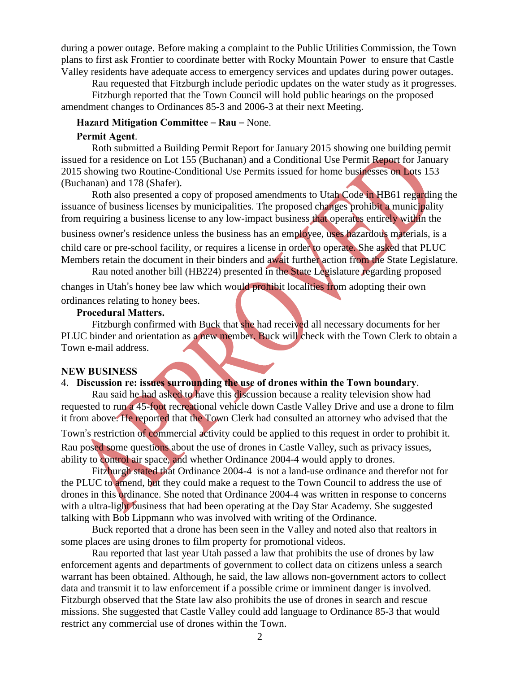during a power outage. Before making a complaint to the Public Utilities Commission, the Town plans to first ask Frontier to coordinate better with Rocky Mountain Power to ensure that Castle Valley residents have adequate access to emergency services and updates during power outages.

Rau requested that Fitzburgh include periodic updates on the water study as it progresses.

Fitzburgh reported that the Town Council will hold public hearings on the proposed amendment changes to Ordinances 85-3 and 2006-3 at their next Meeting.

#### **Hazard Mitigation Committee** – **Rau** – None.

#### **Permit Agent**.

Roth submitted a Building Permit Report for January 2015 showing one building permit issued for a residence on Lot 155 (Buchanan) and a Conditional Use Permit Report for January 2015 showing two Routine-Conditional Use Permits issued for home businesses on Lots 153 (Buchanan) and 178 (Shafer).

Roth also presented a copy of proposed amendments to Utah Code in HB61 regarding the issuance of business licenses by municipalities. The proposed changes prohibit a municipality from requiring a business license to any low-impact business that operates entirely within the

business owner's residence unless the business has an employee, uses hazardous materials, is a child care or pre-school facility, or requires a license in order to operate. She asked that PLUC Members retain the document in their binders and await further action from the State Legislature.

Rau noted another bill (HB224) presented in the State Legislature regarding proposed changes in Utah's honey bee law which would prohibit localities from adopting their own ordinances relating to honey bees.

#### **Procedural Matters.**

Fitzburgh confirmed with Buck that she had received all necessary documents for her PLUC binder and orientation as a new member. Buck will check with the Town Clerk to obtain a Town e-mail address.

#### **NEW BUSINESS**

## 4. **Discussion re: issues surrounding the use of drones within the Town boundary**.

Rau said he had asked to have this discussion because a reality television show had requested to run a 45-foot recreational vehicle down Castle Valley Drive and use a drone to film it from above. He reported that the Town Clerk had consulted an attorney who advised that the

Town's restriction of commercial activity could be applied to this request in order to prohibit it. Rau posed some questions about the use of drones in Castle Valley, such as privacy issues, ability to control air space, and whether Ordinance 2004-4 would apply to drones.

Fitzburgh stated that Ordinance 2004-4 is not a land-use ordinance and therefor not for the PLUC to amend, but they could make a request to the Town Council to address the use of drones in this ordinance. She noted that Ordinance 2004-4 was written in response to concerns with a ultra-light business that had been operating at the Day Star Academy. She suggested talking with Bob Lippmann who was involved with writing of the Ordinance.

Buck reported that a drone has been seen in the Valley and noted also that realtors in some places are using drones to film property for promotional videos.

Rau reported that last year Utah passed a law that prohibits the use of drones by law enforcement agents and departments of government to collect data on citizens unless a search warrant has been obtained. Although, he said, the law allows non-government actors to collect data and transmit it to law enforcement if a possible crime or imminent danger is involved. Fitzburgh observed that the State law also prohibits the use of drones in search and rescue missions. She suggested that Castle Valley could add language to Ordinance 85-3 that would restrict any commercial use of drones within the Town.